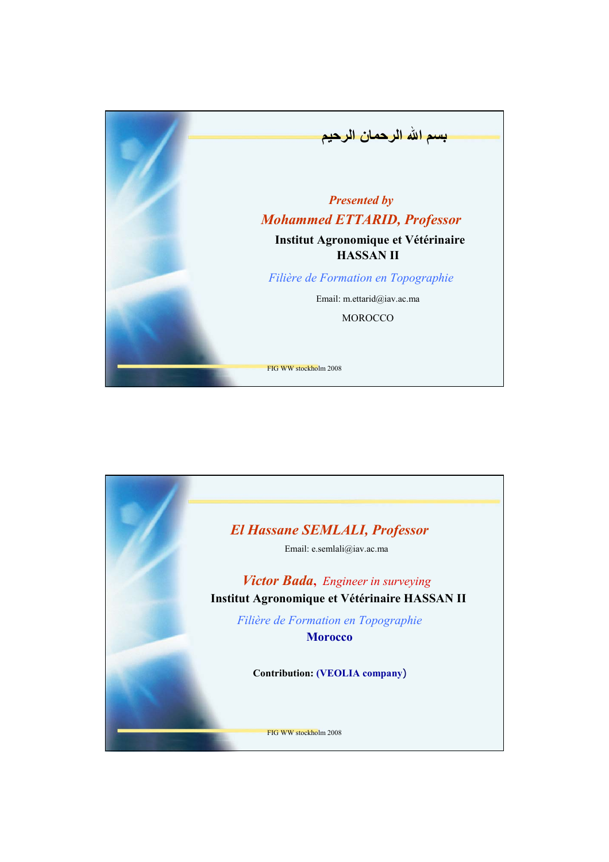

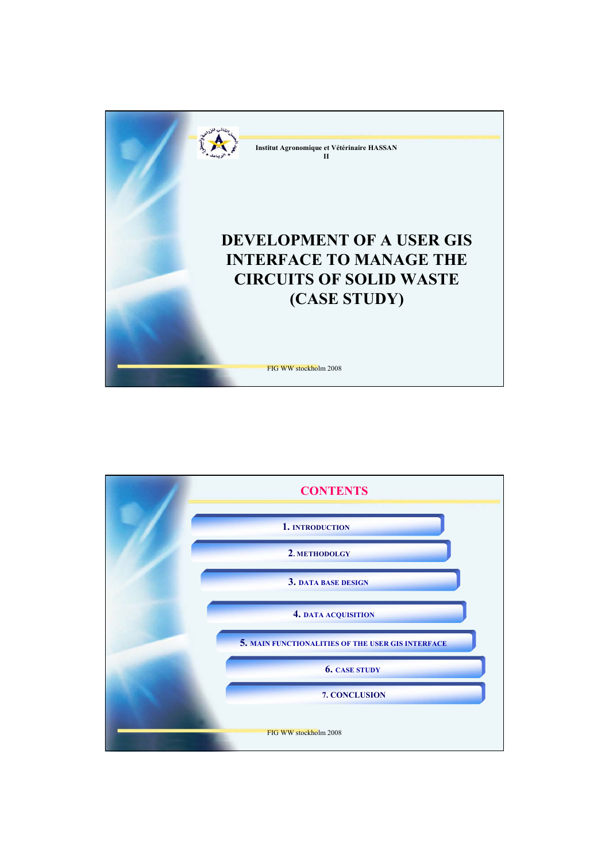

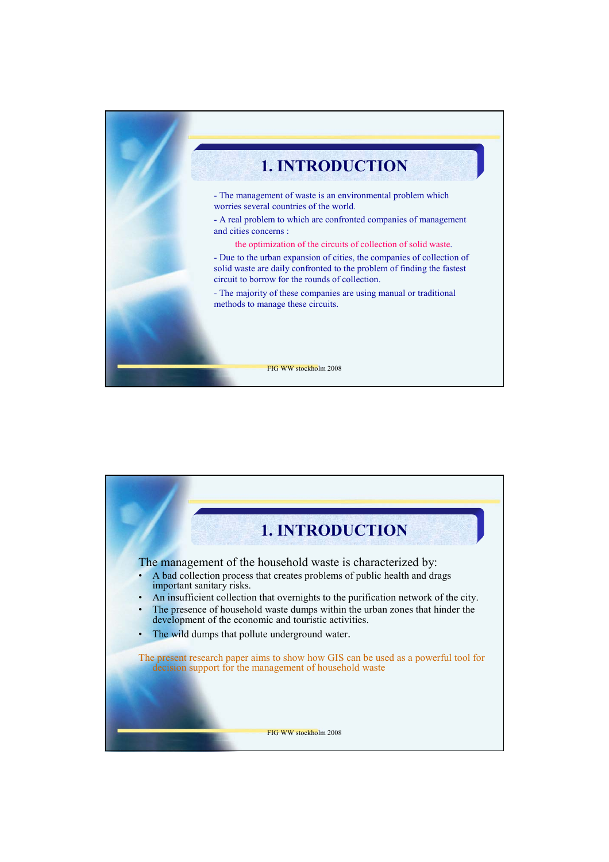

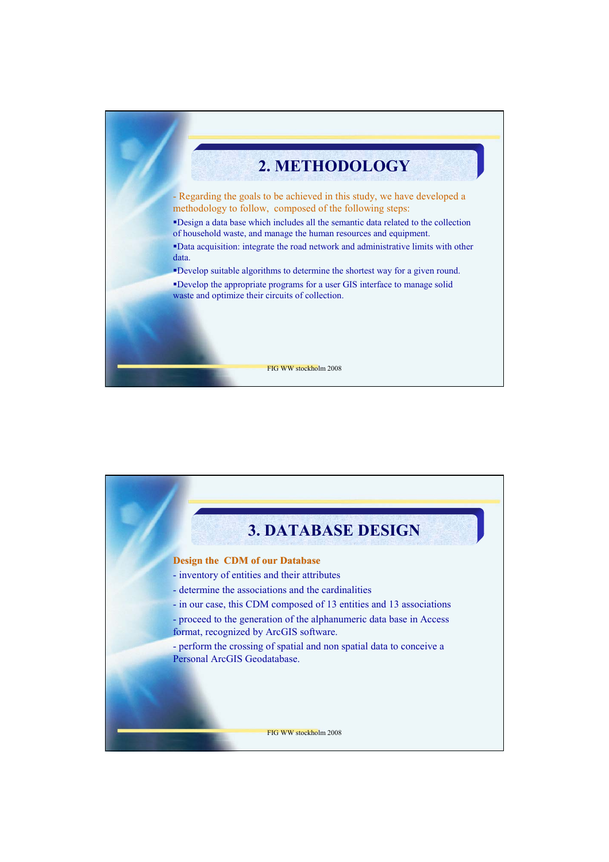

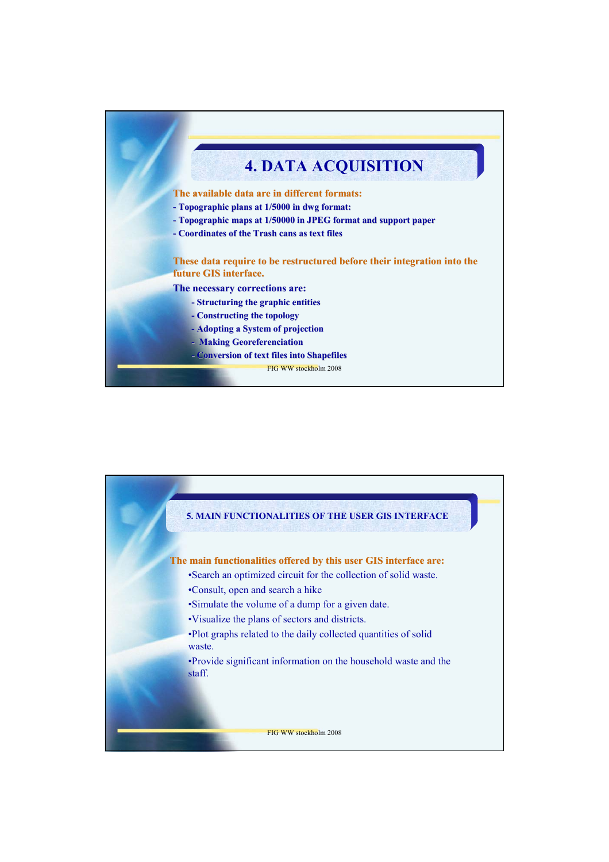

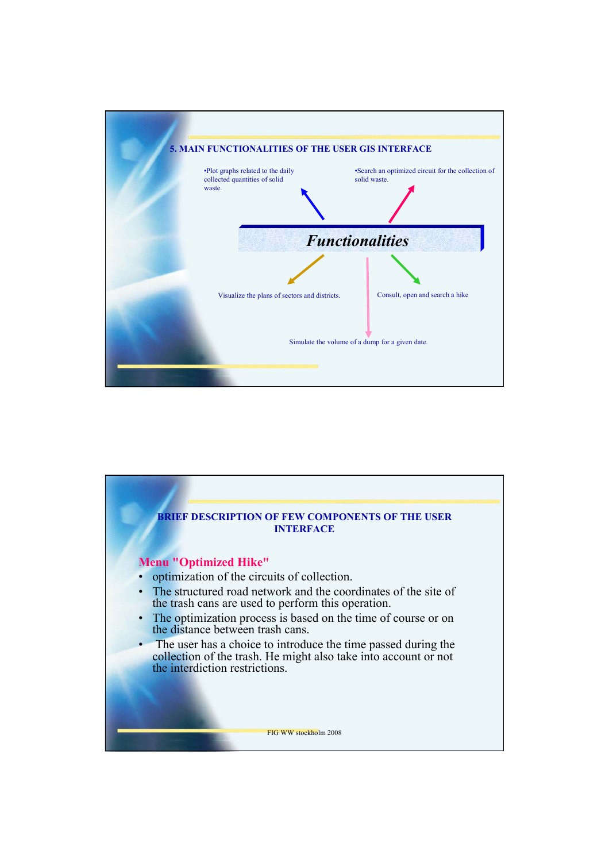

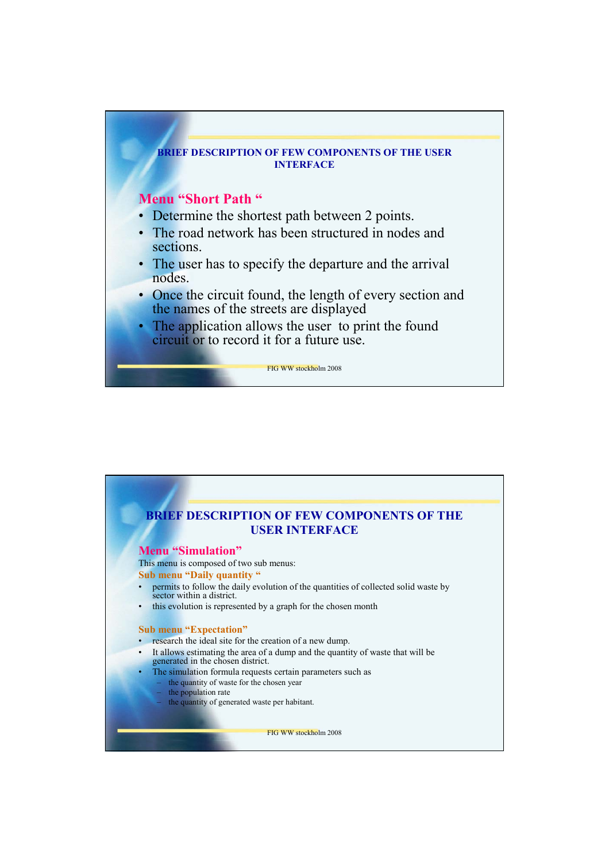

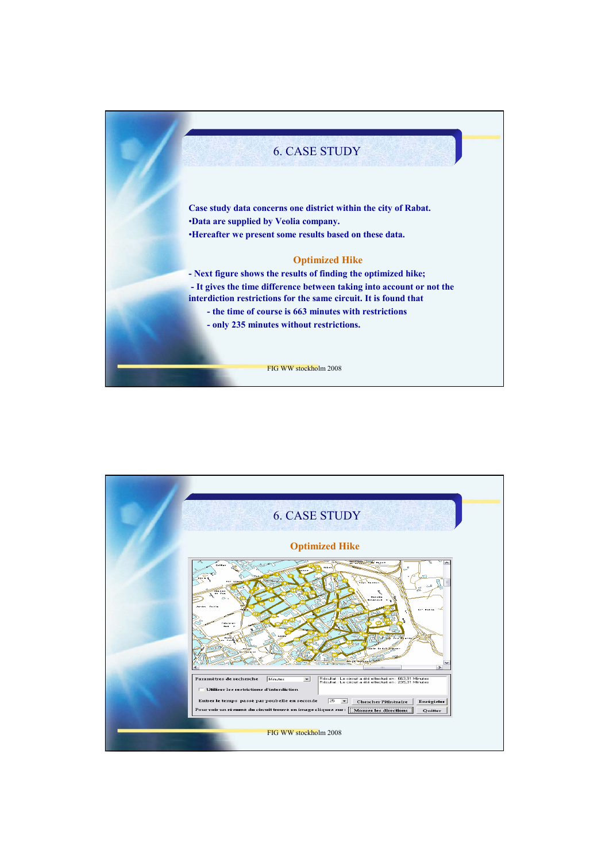

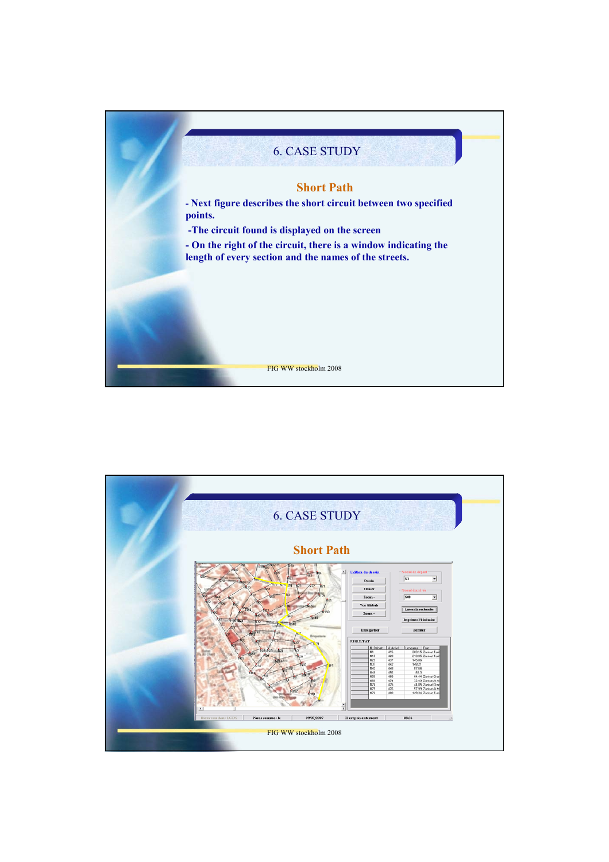